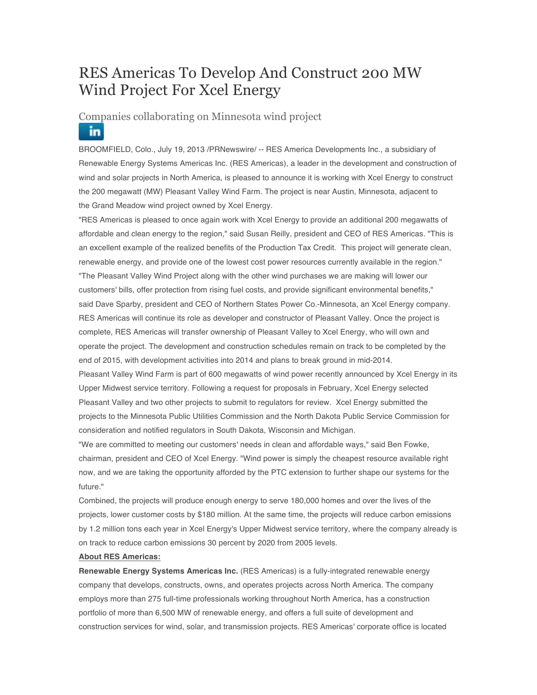## RES Americas To Develop And Construct 200 MW Wind Project For Xcel Energy

## Companies collaborating on Minnesota wind project in

BROOMFIELD, Colo., July 19, 2013 /PRNewswire/ -- RES America Developments Inc., a subsidiary of Renewable Energy Systems Americas Inc. (RES Americas), a leader in the development and construction of wind and solar projects in North America, is pleased to announce it is working with Xcel Energy to construct the 200 megawatt (MW) Pleasant Valley Wind Farm. The project is near Austin, Minnesota, adjacent to the Grand Meadow wind project owned by Xcel Energy.

"RES Americas is pleased to once again work with Xcel Energy to provide an additional 200 megawatts of affordable and clean energy to the region," said Susan Reilly, president and CEO of RES Americas. "This is an excellent example of the realized benefits of the Production Tax Credit. This project will generate clean, renewable energy, and provide one of the lowest cost power resources currently available in the region." "The Pleasant Valley Wind Project along with the other wind purchases we are making will lower our customers' bills, offer protection from rising fuel costs, and provide significant environmental benefits," said Dave Sparby, president and CEO of Northern States Power Co.-Minnesota, an Xcel Energy company. RES Americas will continue its role as developer and constructor of Pleasant Valley. Once the project is complete, RES Americas will transfer ownership of Pleasant Valley to Xcel Energy, who will own and operate the project. The development and construction schedules remain on track to be completed by the end of 2015, with development activities into 2014 and plans to break ground in mid-2014. Pleasant Valley Wind Farm is part of 600 megawatts of wind power recently announced by Xcel Energy in its Upper Midwest service territory. Following a request for proposals in February, Xcel Energy selected Pleasant Valley and two other projects to submit to regulators for review. Xcel Energy submitted the projects to the Minnesota Public Utilities Commission and the North Dakota Public Service Commission for consideration and notified regulators in South Dakota, Wisconsin and Michigan.

"We are committed to meeting our customers' needs in clean and affordable ways," said Ben Fowke, chairman, president and CEO of Xcel Energy. "Wind power is simply the cheapest resource available right now, and we are taking the opportunity afforded by the PTC extension to further shape our systems for the future."

Combined, the projects will produce enough energy to serve 180,000 homes and over the lives of the projects, lower customer costs by \$180 million. At the same time, the projects will reduce carbon emissions by 1.2 million tons each year in Xcel Energy's Upper Midwest service territory, where the company already is on track to reduce carbon emissions 30 percent by 2020 from 2005 levels.

## **About RES Americas:**

**Renewable Energy Systems Americas Inc.** (RES Americas) is a fully-integrated renewable energy company that develops, constructs, owns, and operates projects across North America. The company employs more than 275 full-time professionals working throughout North America, has a construction portfolio of more than 6,500 MW of renewable energy, and offers a full suite of development and construction services for wind, solar, and transmission projects. RES Americas' corporate office is located